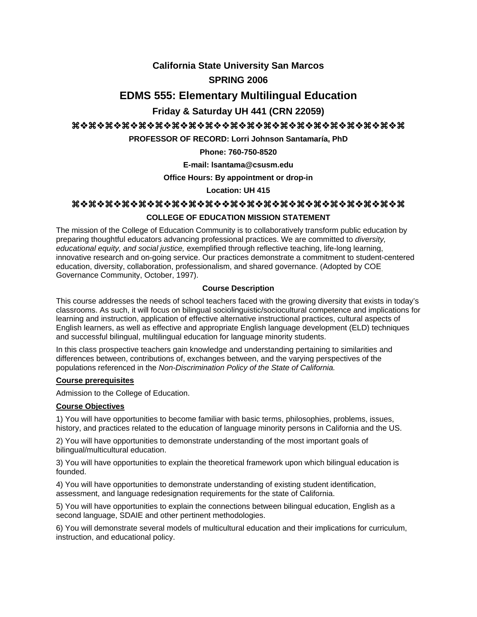# **California State University San Marcos SPRING 2006**

# **EDMS 555: Elementary Multilingual Education**

# **Friday & Saturday UH 441 (CRN 22059)**

# aaaaaaaaaaaaaaaaaaaa

**PROFESSOR OF RECORD: Lorri Johnson Santamaría, PhD**

**Phone: 760-750-8520**

**E-mail: lsantama@csusm.edu** 

**Office Hours: By appointment or drop-in**

**Location: UH 415**

# aaaaaaaaaaaaaaaaaaaa

# **COLLEGE OF EDUCATION MISSION STATEMENT**

The mission of the College of Education Community is to collaboratively transform public education by preparing thoughtful educators advancing professional practices. We are committed to *diversity, educational equity, and social justice,* exemplified through reflective teaching, life-long learning, innovative research and on-going service. Our practices demonstrate a commitment to student-centered education, diversity, collaboration, professionalism, and shared governance. (Adopted by COE Governance Community, October, 1997).

# **Course Description**

This course addresses the needs of school teachers faced with the growing diversity that exists in today's classrooms. As such, it will focus on bilingual sociolinguistic/sociocultural competence and implications for learning and instruction, application of effective alternative instructional practices, cultural aspects of English learners, as well as effective and appropriate English language development (ELD) techniques and successful bilingual, multilingual education for language minority students.

In this class prospective teachers gain knowledge and understanding pertaining to similarities and differences between, contributions of, exchanges between, and the varying perspectives of the populations referenced in the *Non-Discrimination Policy of the State of California.*

# **Course prerequisites**

Admission to the College of Education.

# **Course Objectives**

1) You will have opportunities to become familiar with basic terms, philosophies, problems, issues, history, and practices related to the education of language minority persons in California and the US.

2) You will have opportunities to demonstrate understanding of the most important goals of bilingual/multicultural education.

3) You will have opportunities to explain the theoretical framework upon which bilingual education is founded.

4) You will have opportunities to demonstrate understanding of existing student identification, assessment, and language redesignation requirements for the state of California.

5) You will have opportunities to explain the connections between bilingual education, English as a second language, SDAIE and other pertinent methodologies.

6) You will demonstrate several models of multicultural education and their implications for curriculum, instruction, and educational policy.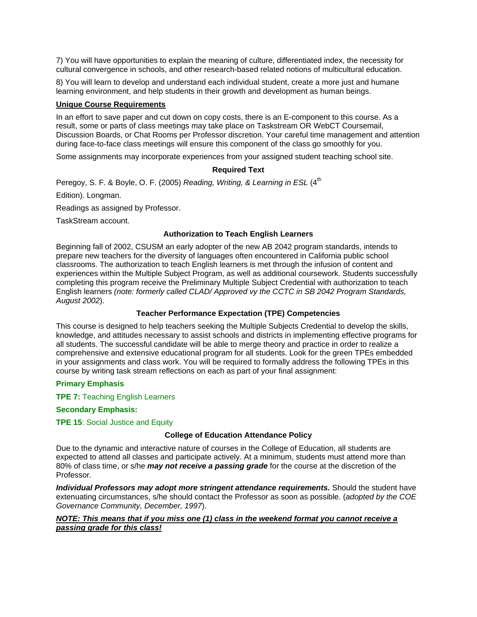7) You will have opportunities to explain the meaning of culture, differentiated index, the necessity for cultural convergence in schools, and other research-based related notions of multicultural education.

8) You will learn to develop and understand each individual student, create a more just and humane learning environment, and help students in their growth and development as human beings.

#### **Unique Course Requirements**

In an effort to save paper and cut down on copy costs, there is an E-component to this course. As a result, some or parts of class meetings may take place on Taskstream OR WebCT Coursemail, Discussion Boards, or Chat Rooms per Professor discretion. Your careful time management and attention during face-to-face class meetings will ensure this component of the class go smoothly for you.

Some assignments may incorporate experiences from your assigned student teaching school site.

# **Required Text**

Peregoy, S. F. & Boyle, O. F. (2005) *Reading, Writing, & Learning in ESL* (4<sup>th</sup> Edition). Longman. Readings as assigned by Professor.

TaskStream account.

# **Authorization to Teach English Learners**

Beginning fall of 2002, CSUSM an early adopter of the new AB 2042 program standards, intends to prepare new teachers for the diversity of languages often encountered in California public school classrooms. The authorization to teach English learners is met through the infusion of content and experiences within the Multiple Subject Program, as well as additional coursework. Students successfully completing this program receive the Preliminary Multiple Subject Credential with authorization to teach English learners *(note: formerly called CLAD/ Approved vy the CCTC in SB 2042 Program Standards, August 2002*).

# **Teacher Performance Expectation (TPE) Competencies**

This course is designed to help teachers seeking the Multiple Subjects Credential to develop the skills, knowledge, and attitudes necessary to assist schools and districts in implementing effective programs for all students. The successful candidate will be able to merge theory and practice in order to realize a comprehensive and extensive educational program for all students. Look for the green TPEs embedded in your assignments and class work. You will be required to formally address the following TPEs in this course by writing task stream reflections on each as part of your final assignment:

# **Primary Emphasis**

**TPE 7:** Teaching English Learners

**Secondary Emphasis:**

**TPE 15**: Social Justice and Equity

# **College of Education Attendance Policy**

Due to the dynamic and interactive nature of courses in the College of Education, all students are expected to attend all classes and participate actively. At a minimum, students must attend more than 80% of class time, or s/he *may not receive a passing grade* for the course at the discretion of the Professor*.*

Individual Professors may adopt more stringent attendance requirements. Should the student have extenuating circumstances, s/he should contact the Professor as soon as possible. (*adopted by the COE Governance Community, December, 1997*).

#### *NOTE: This means that if you miss one (1) class in the weekend format you cannot receive a passing grade for this class!*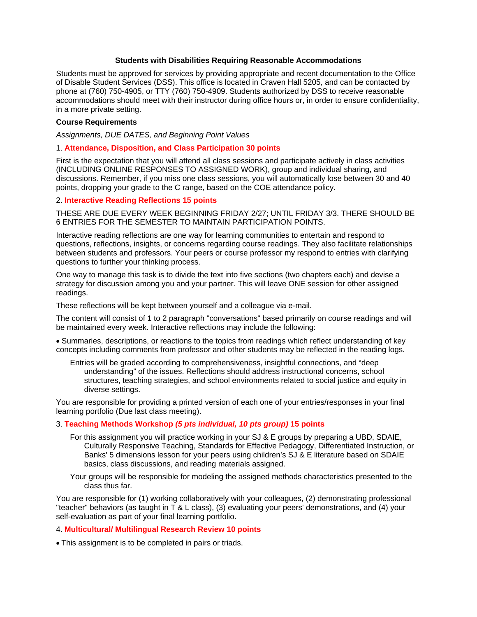#### **Students with Disabilities Requiring Reasonable Accommodations**

Students must be approved for services by providing appropriate and recent documentation to the Office of Disable Student Services (DSS). This office is located in Craven Hall 5205, and can be contacted by phone at (760) 750-4905, or TTY (760) 750-4909. Students authorized by DSS to receive reasonable accommodations should meet with their instructor during office hours or, in order to ensure confidentiality, in a more private setting.

#### **Course Requirements**

*Assignments, DUE DATES, and Beginning Point Values* 

### 1. **Attendance, Disposition, and Class Participation 30 points**

First is the expectation that you will attend all class sessions and participate actively in class activities (INCLUDING ONLINE RESPONSES TO ASSIGNED WORK), group and individual sharing, and discussions. Remember, if you miss one class sessions, you will automatically lose between 30 and 40 points, dropping your grade to the C range, based on the COE attendance policy.

#### 2. **Interactive Reading Reflections 15 points**

THESE ARE DUE EVERY WEEK BEGINNING FRIDAY 2/27; UNTIL FRIDAY 3/3. THERE SHOULD BE 6 ENTRIES FOR THE SEMESTER TO MAINTAIN PARTICIPATION POINTS.

Interactive reading reflections are one way for learning communities to entertain and respond to questions, reflections, insights, or concerns regarding course readings. They also facilitate relationships between students and professors. Your peers or course professor my respond to entries with clarifying questions to further your thinking process.

One way to manage this task is to divide the text into five sections (two chapters each) and devise a strategy for discussion among you and your partner. This will leave ONE session for other assigned readings.

These reflections will be kept between yourself and a colleague via e-mail.

The content will consist of 1 to 2 paragraph "conversations" based primarily on course readings and will be maintained every week. Interactive reflections may include the following:

• Summaries, descriptions, or reactions to the topics from readings which reflect understanding of key concepts including comments from professor and other students may be reflected in the reading logs.

Entries will be graded according to comprehensiveness, insightful connections, and "deep understanding" of the issues. Reflections should address instructional concerns, school structures, teaching strategies, and school environments related to social justice and equity in diverse settings.

You are responsible for providing a printed version of each one of your entries/responses in your final learning portfolio (Due last class meeting).

### 3. **Teaching Methods Workshop** *(5 pts individual, 10 pts group)* **15 points**

- For this assignment you will practice working in your SJ & E groups by preparing a UBD, SDAIE, Culturally Responsive Teaching, Standards for Effective Pedagogy, Differentiated Instruction, or Banks' 5 dimensions lesson for your peers using children's SJ & E literature based on SDAIE basics, class discussions, and reading materials assigned.
- Your groups will be responsible for modeling the assigned methods characteristics presented to the class thus far.

You are responsible for (1) working collaboratively with your colleagues, (2) demonstrating professional "teacher" behaviors (as taught in T & L class), (3) evaluating your peers' demonstrations, and (4) your self-evaluation as part of your final learning portfolio.

#### 4. **Multicultural/ Multilingual Research Review 10 points**

• This assignment is to be completed in pairs or triads.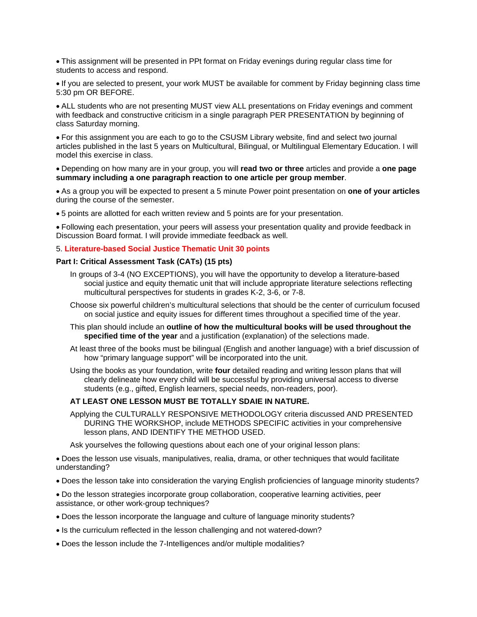• This assignment will be presented in PPt format on Friday evenings during regular class time for students to access and respond.

• If you are selected to present, your work MUST be available for comment by Friday beginning class time 5:30 pm OR BEFORE.

• ALL students who are not presenting MUST view ALL presentations on Friday evenings and comment with feedback and constructive criticism in a single paragraph PER PRESENTATION by beginning of class Saturday morning.

• For this assignment you are each to go to the CSUSM Library website, find and select two journal articles published in the last 5 years on Multicultural, Bilingual, or Multilingual Elementary Education. I will model this exercise in class.

• Depending on how many are in your group, you will **read two or three** articles and provide a **one page summary including a one paragraph reaction to one article per group member**.

• As a group you will be expected to present a 5 minute Power point presentation on **one of your articles** during the course of the semester.

• 5 points are allotted for each written review and 5 points are for your presentation.

• Following each presentation, your peers will assess your presentation quality and provide feedback in Discussion Board format. I will provide immediate feedback as well.

### 5. **Literature-based Social Justice Thematic Unit 30 points**

#### **Part I: Critical Assessment Task (CATs) (15 pts)**

- In groups of 3-4 (NO EXCEPTIONS), you will have the opportunity to develop a literature-based social justice and equity thematic unit that will include appropriate literature selections reflecting multicultural perspectives for students in grades K-2, 3-6, or 7-8.
- Choose six powerful children's multicultural selections that should be the center of curriculum focused on social justice and equity issues for different times throughout a specified time of the year.
- This plan should include an **outline of how the multicultural books will be used throughout the specified time of the year** and a justification (explanation) of the selections made.
- At least three of the books must be bilingual (English and another language) with a brief discussion of how "primary language support" will be incorporated into the unit.

Using the books as your foundation, write **four** detailed reading and writing lesson plans that will clearly delineate how every child will be successful by providing universal access to diverse students (e.g., gifted, English learners, special needs, non-readers, poor).

#### **AT LEAST ONE LESSON MUST BE TOTALLY SDAIE IN NATURE.**

Applying the CULTURALLY RESPONSIVE METHODOLOGY criteria discussed AND PRESENTED DURING THE WORKSHOP, include METHODS SPECIFIC activities in your comprehensive lesson plans, AND IDENTIFY THE METHOD USED.

Ask yourselves the following questions about each one of your original lesson plans:

• Does the lesson use visuals, manipulatives, realia, drama, or other techniques that would facilitate understanding?

• Does the lesson take into consideration the varying English proficiencies of language minority students?

• Do the lesson strategies incorporate group collaboration, cooperative learning activities, peer assistance, or other work-group techniques?

- Does the lesson incorporate the language and culture of language minority students?
- Is the curriculum reflected in the lesson challenging and not watered-down?
- Does the lesson include the 7-Intelligences and/or multiple modalities?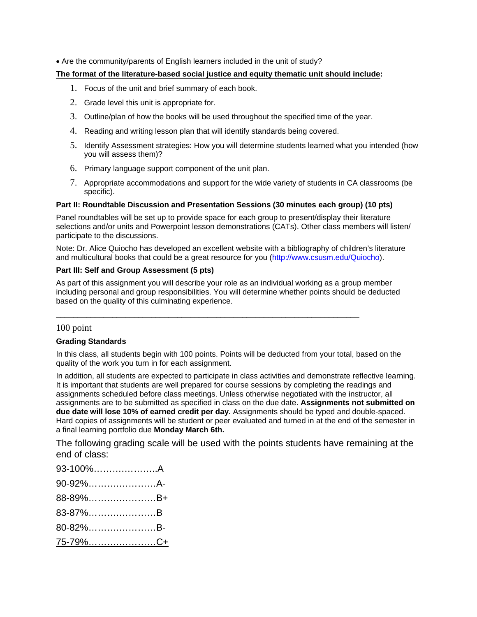• Are the community/parents of English learners included in the unit of study?

# **The format of the literature-based social justice and equity thematic unit should include:**

- 1. Focus of the unit and brief summary of each book.
- 2. Grade level this unit is appropriate for.
- 3. Outline/plan of how the books will be used throughout the specified time of the year.
- 4. Reading and writing lesson plan that will identify standards being covered.
- 5. Identify Assessment strategies: How you will determine students learned what you intended (how you will assess them)?
- 6. Primary language support component of the unit plan.
- 7. Appropriate accommodations and support for the wide variety of students in CA classrooms (be specific).

# **Part II: Roundtable Discussion and Presentation Sessions (30 minutes each group) (10 pts)**

Panel roundtables will be set up to provide space for each group to present/display their literature selections and/or units and Powerpoint lesson demonstrations (CATs). Other class members will listen/ participate to the discussions.

Note: Dr. Alice Quiocho has developed an excellent website with a bibliography of children's literature and multicultural books that could be a great resource for you (http://www.csusm.edu/Quiocho).

# **Part III: Self and Group Assessment (5 pts)**

As part of this assignment you will describe your role as an individual working as a group member including personal and group responsibilities. You will determine whether points should be deducted based on the quality of this culminating experience.

 $\overline{\phantom{a}}$  ,  $\overline{\phantom{a}}$  ,  $\overline{\phantom{a}}$  ,  $\overline{\phantom{a}}$  ,  $\overline{\phantom{a}}$  ,  $\overline{\phantom{a}}$  ,  $\overline{\phantom{a}}$  ,  $\overline{\phantom{a}}$  ,  $\overline{\phantom{a}}$  ,  $\overline{\phantom{a}}$  ,  $\overline{\phantom{a}}$  ,  $\overline{\phantom{a}}$  ,  $\overline{\phantom{a}}$  ,  $\overline{\phantom{a}}$  ,  $\overline{\phantom{a}}$  ,  $\overline{\phantom{a}}$ 

# 100 point

# **Grading Standards**

In this class, all students begin with 100 points. Points will be deducted from your total, based on the quality of the work you turn in for each assignment.

In addition, all students are expected to participate in class activities and demonstrate reflective learning. It is important that students are well prepared for course sessions by completing the readings and assignments scheduled before class meetings. Unless otherwise negotiated with the instructor, all assignments are to be submitted as specified in class on the due date. **Assignments not submitted on due date will lose 10% of earned credit per day.** Assignments should be typed and double-spaced. Hard copies of assignments will be student or peer evaluated and turned in at the end of the semester in a final learning portfolio due **Monday March 6th.**

The following grading scale will be used with the points students have remaining at the end of class:

| 93-100%A        |  |
|-----------------|--|
| 90-92%A-        |  |
| 88-89%B+        |  |
| 83-87%B         |  |
| 80-82%B-        |  |
| <u>75-79%C+</u> |  |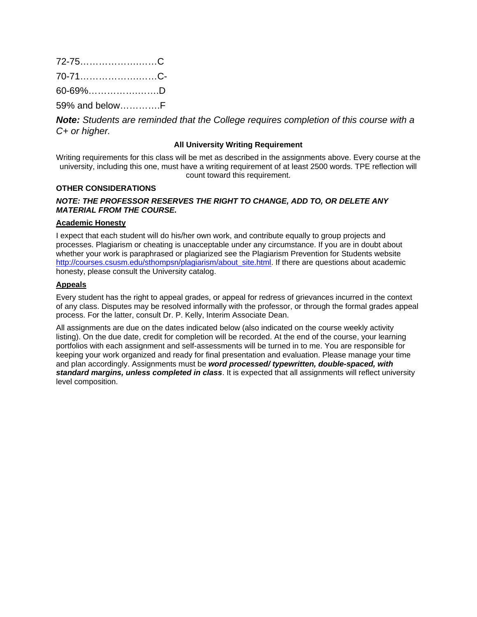| 72-75C         |  |
|----------------|--|
| 70-71C-        |  |
| 60-69%D        |  |
| 59% and belowF |  |

*Note: Students are reminded that the College requires completion of this course with a C+ or higher.*

### **All University Writing Requirement**

Writing requirements for this class will be met as described in the assignments above. Every course at the university, including this one, must have a writing requirement of at least 2500 words. TPE reflection will count toward this requirement.

### **OTHER CONSIDERATIONS**

# *NOTE: THE PROFESSOR RESERVES THE RIGHT TO CHANGE, ADD TO, OR DELETE ANY MATERIAL FROM THE COURSE.*

### **Academic Honesty**

I expect that each student will do his/her own work, and contribute equally to group projects and processes. Plagiarism or cheating is unacceptable under any circumstance. If you are in doubt about whether your work is paraphrased or plagiarized see the Plagiarism Prevention for Students website http://courses.csusm.edu/sthompsn/plagiarism/about\_site.html. If there are questions about academic honesty, please consult the University catalog.

#### **Appeals**

Every student has the right to appeal grades, or appeal for redress of grievances incurred in the context of any class. Disputes may be resolved informally with the professor, or through the formal grades appeal process. For the latter, consult Dr. P. Kelly, Interim Associate Dean.

All assignments are due on the dates indicated below (also indicated on the course weekly activity listing). On the due date, credit for completion will be recorded. At the end of the course, your learning portfolios with each assignment and self-assessments will be turned in to me. You are responsible for keeping your work organized and ready for final presentation and evaluation. Please manage your time and plan accordingly. Assignments must be *word processed/ typewritten, double-spaced, with standard margins, unless completed in class*. It is expected that all assignments will reflect university level composition.